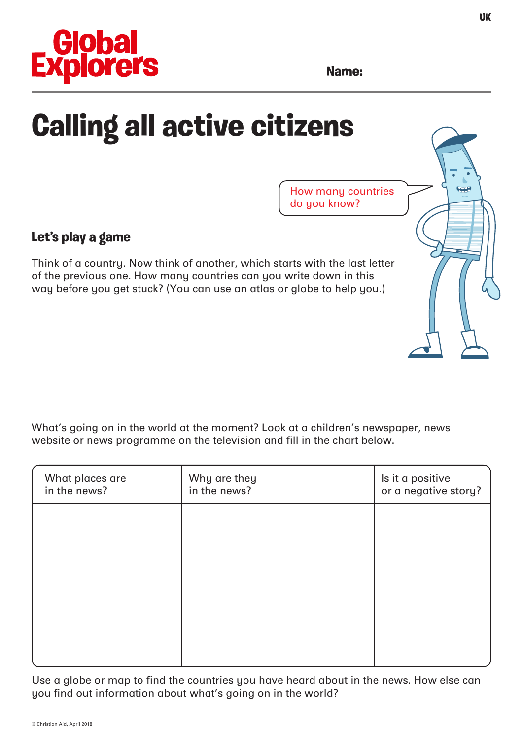

**Name:**

## **Calling all active citizens**

How many countries do you know?

## **Let's play a game**

Think of a country. Now think of another, which starts with the last letter of the previous one. How many countries can you write down in this way before you get stuck? (You can use an atlas or globe to help you.)

What's going on in the world at the moment? Look at a children's newspaper, news website or news programme on the television and fill in the chart below.

| What places are<br>in the news? | Why are they<br>in the news? | Is it a positive<br>or a negative story? |
|---------------------------------|------------------------------|------------------------------------------|
|                                 |                              |                                          |
|                                 |                              |                                          |
|                                 |                              |                                          |
|                                 |                              |                                          |
|                                 |                              |                                          |

Use a globe or map to find the countries you have heard about in the news. How else can you find out information about what's going on in the world?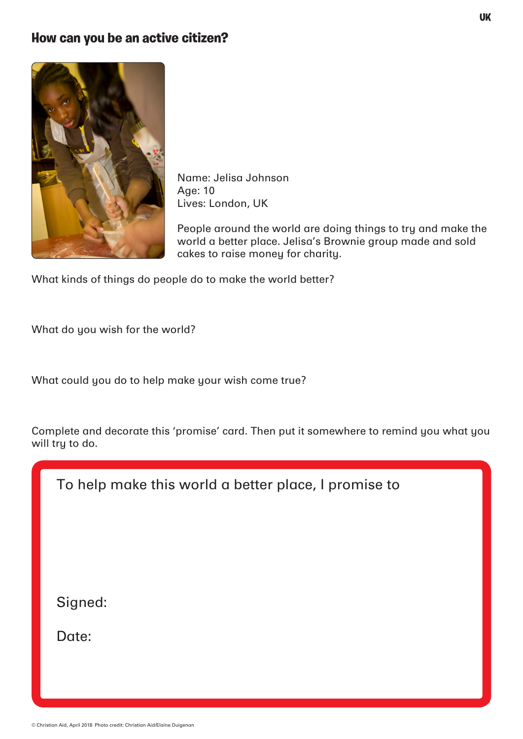## **How can you be an active citizen?**



Name: Jelisa Johnson Age: 10 Lives: London, UK

People around the world are doing things to try and make the world a better place. Jelisa's Brownie group made and sold cakes to raise money for charity.

What kinds of things do people do to make the world better?

What do you wish for the world?

What could you do to help make your wish come true?

Complete and decorate this 'promise' card. Then put it somewhere to remind you what you will try to do.

| To help make this world a better place, I promise to |  |  |
|------------------------------------------------------|--|--|
|                                                      |  |  |
|                                                      |  |  |
| Signed:                                              |  |  |
| Date:                                                |  |  |
|                                                      |  |  |
|                                                      |  |  |